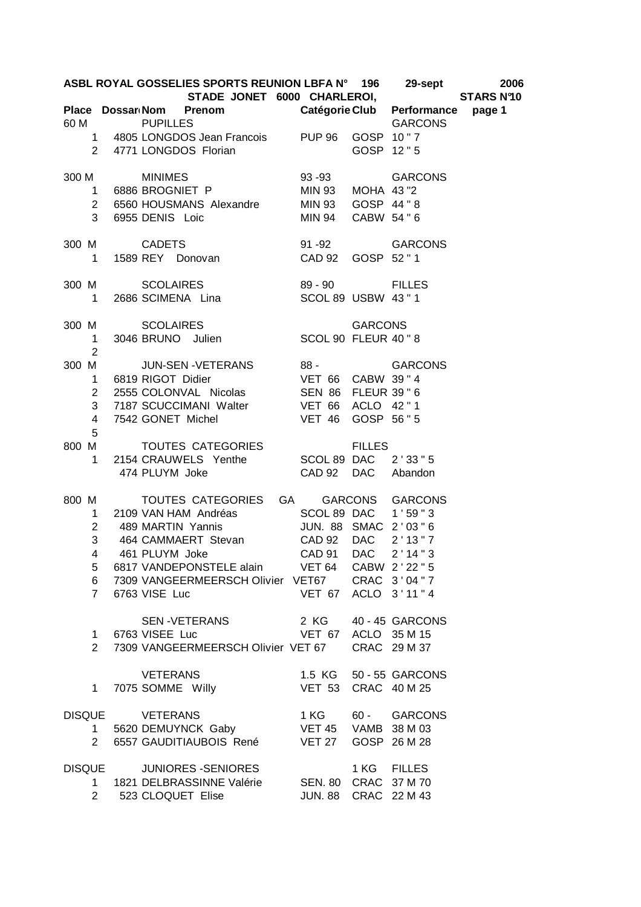| ASBL ROYAL GOSSELIES SPORTS REUNION LBFA N° 196 29-sept 2006<br>STADE JONET 6000 CHARLEROI, STARS Nº10<br>Place Dossar <sub>'</sub> Nom Prenom Catégorie Club Performance page 1 |                     |  |                                                                                                                              |                      |            |                        |  |  |  |  |
|----------------------------------------------------------------------------------------------------------------------------------------------------------------------------------|---------------------|--|------------------------------------------------------------------------------------------------------------------------------|----------------------|------------|------------------------|--|--|--|--|
|                                                                                                                                                                                  |                     |  |                                                                                                                              |                      |            |                        |  |  |  |  |
| 60 M                                                                                                                                                                             |                     |  | <b>PUPILLES</b><br>1 4805 LONGDOS Jean Francois PUP 96 GOSP 10"7                                                             |                      |            | <b>GARCONS</b>         |  |  |  |  |
|                                                                                                                                                                                  |                     |  | 1 4800 LONGDOS Florian<br>2 4771 LONGDOS Florian                                                                             |                      |            | GOSP 12"5              |  |  |  |  |
|                                                                                                                                                                                  |                     |  | MINIMES 93-93 GARCONS<br>1 6886 BROGNIET P MIN 93 MOHA 43 "2<br>2 6560 HOUSMANS Alexandre MIN 93 GOSP 44 "8<br>300 M MINIMES |                      |            |                        |  |  |  |  |
|                                                                                                                                                                                  |                     |  |                                                                                                                              |                      |            |                        |  |  |  |  |
|                                                                                                                                                                                  | 3                   |  | 6955 DENIS Loic<br>MIN 94 CABW 54 " 6                                                                                        |                      |            |                        |  |  |  |  |
|                                                                                                                                                                                  |                     |  | 300 M CADETS 91 -92 GARCONS<br>1 1589 REY Donovan CAD 92 GOSP 52 "1                                                          |                      |            |                        |  |  |  |  |
|                                                                                                                                                                                  |                     |  |                                                                                                                              |                      |            |                        |  |  |  |  |
|                                                                                                                                                                                  |                     |  | 300 M SCOLAIRES 89 - 90 FILLES<br>1 2686 SCIMENA Lina SCOL 89 USBW 43 "1                                                     |                      |            |                        |  |  |  |  |
|                                                                                                                                                                                  |                     |  |                                                                                                                              |                      |            |                        |  |  |  |  |
|                                                                                                                                                                                  |                     |  | 300 M SCOLAIRES GARCONS<br>1 3046 BRUNO Julien SCOL 90 FLEUR 40 "8                                                           |                      |            |                        |  |  |  |  |
|                                                                                                                                                                                  | $\overline{2}$      |  |                                                                                                                              |                      |            |                        |  |  |  |  |
| 300 M                                                                                                                                                                            |                     |  |                                                                                                                              |                      |            |                        |  |  |  |  |
|                                                                                                                                                                                  |                     |  | 1 6819 RIGOT Didier                                                                                                          |                      |            |                        |  |  |  |  |
|                                                                                                                                                                                  | $\overline{2}$<br>3 |  |                                                                                                                              |                      |            |                        |  |  |  |  |
|                                                                                                                                                                                  | $\overline{4}$      |  | 7187 SCUCCIMANI Walter VET 66 ACLO 42"1<br>7542 GONET Michel    VET 46 GOSP 56 "5                                            |                      |            |                        |  |  |  |  |
|                                                                                                                                                                                  | 5                   |  |                                                                                                                              |                      |            |                        |  |  |  |  |
|                                                                                                                                                                                  |                     |  | 800 M TOUTES CATEGORIES FILLES<br>1 2154 CRAUWELS Yenthe SCOL 89 DAC 2'33"5<br>474 PLUYM Joke CAD 92 DAC Abandon             |                      |            |                        |  |  |  |  |
|                                                                                                                                                                                  |                     |  |                                                                                                                              |                      |            |                        |  |  |  |  |
|                                                                                                                                                                                  |                     |  |                                                                                                                              |                      |            |                        |  |  |  |  |
|                                                                                                                                                                                  |                     |  | 800 M TOUTES CATEGORIES GA GARCONS GARCONS                                                                                   |                      |            |                        |  |  |  |  |
|                                                                                                                                                                                  | 1                   |  | 2109 VAN HAM Andréas SCOL 89 DAC 1'59"3<br>489 MARTIN Yannis JUN. 88 SMAC 2'03"6                                             |                      |            |                        |  |  |  |  |
|                                                                                                                                                                                  | $2^{\circ}$         |  |                                                                                                                              |                      |            |                        |  |  |  |  |
|                                                                                                                                                                                  | 3                   |  | 464 CAMMAERT Stevan CAD 92 DAC 2'13"7                                                                                        |                      |            |                        |  |  |  |  |
|                                                                                                                                                                                  | $\overline{4}$      |  | 461 PLUYM Joke                                                                                                               | CAD 91               | <b>DAC</b> | 2'14''3                |  |  |  |  |
|                                                                                                                                                                                  | 5<br>6              |  | 6817 VANDEPONSTELE alain VET 64<br>7309 VANGEERMEERSCH Olivier VET67 CRAC 3'04"7                                             |                      |            | CABW 2'22"5            |  |  |  |  |
|                                                                                                                                                                                  | $7^{\circ}$         |  | 6763 VISE Luc                                                                                                                | VET 67 ACLO 3'11"4   |            |                        |  |  |  |  |
|                                                                                                                                                                                  |                     |  | SEN -VETERANS                                                                                                                | 2 KG                 |            | 40 - 45 GARCONS        |  |  |  |  |
|                                                                                                                                                                                  | 1                   |  | 6763 VISEE Luc                                                                                                               | VET 67 ACLO 35 M 15  |            |                        |  |  |  |  |
|                                                                                                                                                                                  | $\overline{2}$      |  | 7309 VANGEERMEERSCH Olivier VET 67 CRAC 29 M 37                                                                              |                      |            |                        |  |  |  |  |
|                                                                                                                                                                                  |                     |  | <b>VETERANS</b>                                                                                                              |                      |            | 1.5 KG 50 - 55 GARCONS |  |  |  |  |
|                                                                                                                                                                                  | 1.                  |  | 7075 SOMME Willy                                                                                                             | VET 53 CRAC 40 M 25  |            |                        |  |  |  |  |
|                                                                                                                                                                                  |                     |  | DISQUE VETERANS                                                                                                              |                      |            | 1 KG 60 - GARCONS      |  |  |  |  |
|                                                                                                                                                                                  | $1 \quad$           |  | 5620 DEMUYNCK Gaby VET 45 VAMB 38 M 03                                                                                       |                      |            |                        |  |  |  |  |
|                                                                                                                                                                                  | $\mathbf{2}$        |  | 6557 GAUDITIAUBOIS René VET 27 GOSP 26 M 28                                                                                  |                      |            |                        |  |  |  |  |
| <b>DISQUE</b>                                                                                                                                                                    |                     |  | <b>JUNIORES -SENIORES</b>                                                                                                    |                      |            | 1 KG FILLES            |  |  |  |  |
|                                                                                                                                                                                  | 1                   |  | 1821 DELBRASSINNE Valérie SEN. 80 CRAC 37 M 70                                                                               |                      |            |                        |  |  |  |  |
|                                                                                                                                                                                  |                     |  | 2 523 CLOQUET Elise                                                                                                          | JUN. 88 CRAC 22 M 43 |            |                        |  |  |  |  |